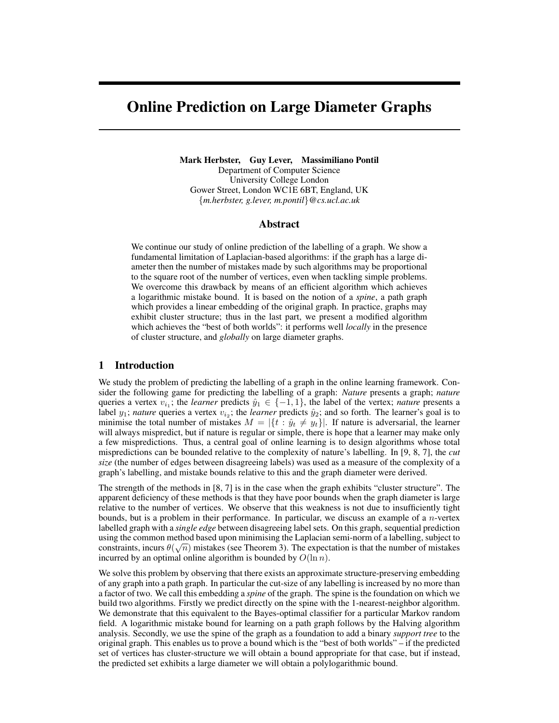# Online Prediction on Large Diameter Graphs

Mark Herbster, Guy Lever, Massimiliano Pontil Department of Computer Science University College London Gower Street, London WC1E 6BT, England, UK {*m.herbster, g.lever, m.pontil*}*@cs.ucl.ac.uk*

#### Abstract

We continue our study of online prediction of the labelling of a graph. We show a fundamental limitation of Laplacian-based algorithms: if the graph has a large diameter then the number of mistakes made by such algorithms may be proportional to the square root of the number of vertices, even when tackling simple problems. We overcome this drawback by means of an efficient algorithm which achieves a logarithmic mistake bound. It is based on the notion of a *spine*, a path graph which provides a linear embedding of the original graph. In practice, graphs may exhibit cluster structure; thus in the last part, we present a modified algorithm which achieves the "best of both worlds": it performs well *locally* in the presence of cluster structure, and *globally* on large diameter graphs.

#### 1 Introduction

We study the problem of predicting the labelling of a graph in the online learning framework. Consider the following game for predicting the labelling of a graph: *Nature* presents a graph; *nature* queries a vertex  $v_{i_1}$ ; the *learner* predicts  $\hat{y}_1 \in \{-1, 1\}$ , the label of the vertex; *nature* presents a label  $y_1$ ; *nature* queries a vertex  $v_{i_2}$ ; the *learner* predicts  $\hat{y}_2$ ; and so forth. The learner's goal is to minimise the total number of mistakes  $M = |\{t : \hat{y}_t \neq y_t\}|$ . If nature is adversarial, the learner will always mispredict, but if nature is regular or simple, there is hope that a learner may make only a few mispredictions. Thus, a central goal of online learning is to design algorithms whose total mispredictions can be bounded relative to the complexity of nature's labelling. In [9, 8, 7], the *cut size* (the number of edges between disagreeing labels) was used as a measure of the complexity of a graph's labelling, and mistake bounds relative to this and the graph diameter were derived.

The strength of the methods in [8, 7] is in the case when the graph exhibits "cluster structure". The apparent deficiency of these methods is that they have poor bounds when the graph diameter is large relative to the number of vertices. We observe that this weakness is not due to insufficiently tight bounds, but is a problem in their performance. In particular, we discuss an example of a  $n$ -vertex labelled graph with a *single edge* between disagreeing label sets. On this graph, sequential prediction using the common method based upon minimising the Laplacian semi-norm of a labelling, subject to constraints, incurs  $\theta(\sqrt{n})$  mistakes (see Theorem 3). The expectation is that the number of mistakes incurred by an optimal online algorithm is bounded by  $O(\ln n)$ .

We solve this problem by observing that there exists an approximate structure-preserving embedding of any graph into a path graph. In particular the cut-size of any labelling is increased by no more than a factor of two. We call this embedding a *spine* of the graph. The spine is the foundation on which we build two algorithms. Firstly we predict directly on the spine with the 1-nearest-neighbor algorithm. We demonstrate that this equivalent to the Bayes-optimal classifier for a particular Markov random field. A logarithmic mistake bound for learning on a path graph follows by the Halving algorithm analysis. Secondly, we use the spine of the graph as a foundation to add a binary *support tree* to the original graph. This enables us to prove a bound which is the "best of both worlds" – if the predicted set of vertices has cluster-structure we will obtain a bound appropriate for that case, but if instead, the predicted set exhibits a large diameter we will obtain a polylogarithmic bound.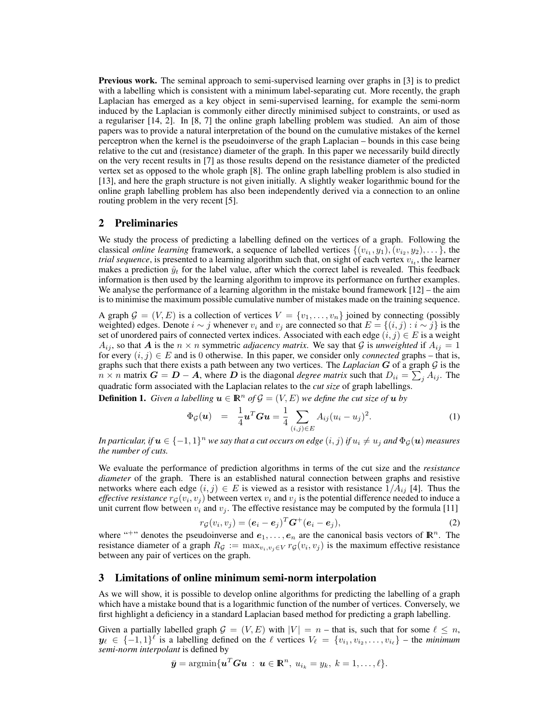Previous work. The seminal approach to semi-supervised learning over graphs in [3] is to predict with a labelling which is consistent with a minimum label-separating cut. More recently, the graph Laplacian has emerged as a key object in semi-supervised learning, for example the semi-norm induced by the Laplacian is commonly either directly minimised subject to constraints, or used as a regulariser [14, 2]. In [8, 7] the online graph labelling problem was studied. An aim of those papers was to provide a natural interpretation of the bound on the cumulative mistakes of the kernel perceptron when the kernel is the pseudoinverse of the graph Laplacian – bounds in this case being relative to the cut and (resistance) diameter of the graph. In this paper we necessarily build directly on the very recent results in [7] as those results depend on the resistance diameter of the predicted vertex set as opposed to the whole graph [8]. The online graph labelling problem is also studied in [13], and here the graph structure is not given initially. A slightly weaker logarithmic bound for the online graph labelling problem has also been independently derived via a connection to an online routing problem in the very recent [5].

# 2 Preliminaries

We study the process of predicting a labelling defined on the vertices of a graph. Following the classical *online learning* framework, a sequence of labelled vertices  $\{(v_{i_1}, y_1), (v_{i_2}, y_2), \dots\}$ , the *trial sequence*, is presented to a learning algorithm such that, on sight of each vertex  $v_{i_t}$ , the learner makes a prediction  $\hat{y}_t$  for the label value, after which the correct label is revealed. This feedback information is then used by the learning algorithm to improve its performance on further examples. We analyse the performance of a learning algorithm in the mistake bound framework  $[12]$  – the aim is to minimise the maximum possible cumulative number of mistakes made on the training sequence.

A graph  $G = (V, E)$  is a collection of vertices  $V = \{v_1, \ldots, v_n\}$  joined by connecting (possibly weighted) edges. Denote  $i \sim j$  whenever  $v_i$  and  $v_j$  are connected so that  $E = \{(i, j) : i \sim j\}$  is the set of unordered pairs of connected vertex indices. Associated with each edge  $(i, j) \in E$  is a weight  $A_{ij}$ , so that A is the  $n \times n$  symmetric *adjacency matrix*. We say that G is *unweighted* if  $A_{ij} = 1$ for every  $(i, j) \in E$  and is 0 otherwise. In this paper, we consider only *connected* graphs – that is, graphs such that there exists a path between any two vertices. The *Laplacian* G of a graph G is the  $n \times n$  matrix  $G = D - A$ , where D is the diagonal *degree matrix* such that  $D_{ii} = \sum_j A_{ij}$ . The quadratic form associated with the Laplacian relates to the *cut size* of graph labellings.

**Definition 1.** *Given a labelling*  $u \in \mathbb{R}^n$  *of*  $\mathcal{G} = (V, E)$  *we define the cut size of*  $u$  *by* 

$$
\Phi_{\mathcal{G}}(\boldsymbol{u}) = \frac{1}{4} \boldsymbol{u}^T \boldsymbol{G} \boldsymbol{u} = \frac{1}{4} \sum_{(i,j) \in E} A_{ij} (u_i - u_j)^2.
$$
 (1)

In particular, if  $u \in \{-1,1\}^n$  we say that a cut occurs on edge  $(i,j)$  if  $u_i \neq u_j$  and  $\Phi_{\mathcal{G}}(u)$  measures *the number of cuts.*

We evaluate the performance of prediction algorithms in terms of the cut size and the *resistance diameter* of the graph. There is an established natural connection between graphs and resistive networks where each edge  $(i, j) \in E$  is viewed as a resistor with resistance  $1/A_{ij}$  [4]. Thus the *effective resistance*  $r_G(v_i, v_j)$  between vertex  $v_i$  and  $v_j$  is the potential difference needed to induce a unit current flow between  $v_i$  and  $v_j$ . The effective resistance may be computed by the formula [11]

$$
r_{\mathcal{G}}(v_i, v_j) = (\mathbf{e}_i - \mathbf{e}_j)^T \mathbf{G}^+(\mathbf{e}_i - \mathbf{e}_j),
$$
\n(2)

where "+" denotes the pseudoinverse and  $e_1, \ldots, e_n$  are the canonical basis vectors of  $\mathbb{R}^n$ . The resistance diameter of a graph  $R_{\mathcal{G}} := \max_{v_i, v_j \in V} r_{\mathcal{G}}(v_i, v_j)$  is the maximum effective resistance between any pair of vertices on the graph.

#### 3 Limitations of online minimum semi-norm interpolation

As we will show, it is possible to develop online algorithms for predicting the labelling of a graph which have a mistake bound that is a logarithmic function of the number of vertices. Conversely, we first highlight a deficiency in a standard Laplacian based method for predicting a graph labelling.

Given a partially labelled graph  $G = (V, E)$  with  $|V| = n -$  that is, such that for some  $\ell \leq n$ ,  $y_\ell \in \{-1, 1\}^{\ell}$  is a labelling defined on the  $\ell$  vertices  $V_\ell = \{v_{i_1}, v_{i_2}, \dots, v_{i_\ell}\}$  – the *minimum semi-norm interpolant* is defined by

$$
\bar{\mathbf{y}} = \operatorname{argmin}\{\mathbf{u}^T\mathbf{G}\mathbf{u} : \mathbf{u} \in \mathbb{R}^n, u_{i_k} = y_k, k = 1, \ldots, \ell\}.
$$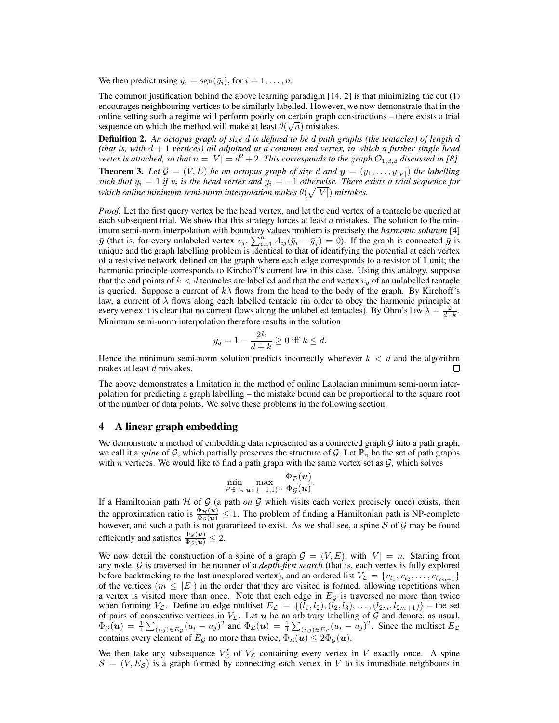We then predict using  $\hat{y}_i = \text{sgn}(\bar{y}_i)$ , for  $i = 1, \dots, n$ .

The common justification behind the above learning paradigm  $[14, 2]$  is that minimizing the cut  $(1)$ encourages neighbouring vertices to be similarly labelled. However, we now demonstrate that in the online setting such a regime will perform poorly on certain graph constructions – there exists a trial sequence on which the method will make at least  $\theta(\sqrt{n})$  mistakes.

Definition 2. *An octopus graph of size* d *is defined to be* d *path graphs (the tentacles) of length* d *(that is, with* d + 1 *vertices) all adjoined at a common end vertex, to which a further single head vertex is attached, so that*  $n = |V| = d^2 + 2$ . This corresponds to the graph  $\mathcal{O}_{1,d,d}$  discussed in [8].

**Theorem 3.** Let  $\mathcal{G} = (V, E)$  be an octopus graph of size d and  $\mathbf{y} = (y_1, \ldots, y_{|V|})$  the labelling *such that*  $y_i = 1$  *if*  $v_i$  *is the head vertex and*  $y_i = -1$  *otherwise. There exists a trial sequence for* which online minimum semi-norm interpolation makes  $\theta(\sqrt{|V|})$  mistakes.

*Proof.* Let the first query vertex be the head vertex, and let the end vertex of a tentacle be queried at each subsequent trial. We show that this strategy forces at least  $d$  mistakes. The solution to the minimum semi-norm interpolation with boundary values problem is precisely the *harmonic solution* [4]  $\bar{y}$  (that is, for every unlabeled vertex  $v_j$ ,  $\sum_{i=1}^n A_{ij} (\bar{y}_i - \bar{y}_j) = 0$ ). If the graph is connected  $\bar{y}$  is unique and the graph labelling problem is identical to that of identifying the potential at each vertex of a resistive network defined on the graph where each edge corresponds to a resistor of 1 unit; the harmonic principle corresponds to Kirchoff's current law in this case. Using this analogy, suppose that the end points of  $k < d$  tentacles are labelled and that the end vertex  $v_q$  of an unlabelled tentacle is queried. Suppose a current of  $k\lambda$  flows from the head to the body of the graph. By Kirchoff's law, a current of  $\lambda$  flows along each labelled tentacle (in order to obey the harmonic principle at every vertex it is clear that no current flows along the unlabelled tentacles). By Ohm's law  $\lambda = \frac{2}{d+k}$ . Minimum semi-norm interpolation therefore results in the solution

$$
\bar{y}_q = 1 - \frac{2k}{d+k} \ge 0 \text{ iff } k \le d.
$$

Hence the minimum semi-norm solution predicts incorrectly whenever  $k < d$  and the algorithm makes at least d mistakes.  $\Box$ 

The above demonstrates a limitation in the method of online Laplacian minimum semi-norm interpolation for predicting a graph labelling – the mistake bound can be proportional to the square root of the number of data points. We solve these problems in the following section.

#### 4 A linear graph embedding

We demonstrate a method of embedding data represented as a connected graph  $\mathcal G$  into a path graph, we call it a *spine* of G, which partially preserves the structure of G. Let  $\mathbb{P}_n$  be the set of path graphs with n vertices. We would like to find a path graph with the same vertex set as  $\mathcal{G}$ , which solves

$$
\min_{\mathcal{P} \in \mathbb{P}_n} \max_{\bm{u} \in \{-1,1\}^n} \frac{\Phi_{\mathcal{P}}(\bm{u})}{\Phi_{\mathcal{G}}(\bm{u})}.
$$

If a Hamiltonian path  $H$  of  $G$  (a path *on*  $G$  which visits each vertex precisely once) exists, then the approximation ratio is  $\frac{\Phi_H(u)}{\Phi_G(u)} \leq 1$ . The problem of finding a Hamiltonian path is NP-complete however, and such a path is not guaranteed to exist. As we shall see, a spine  $S$  of  $G$  may be found efficiently and satisfies  $\frac{\Phi_{\mathcal{S}}(\boldsymbol{u})}{\Phi_{\mathcal{G}}(\boldsymbol{u})} \leq 2$ .

We now detail the construction of a spine of a graph  $\mathcal{G} = (V, E)$ , with  $|V| = n$ . Starting from any node, G is traversed in the manner of a *depth-first search* (that is, each vertex is fully explored before backtracking to the last unexplored vertex), and an ordered list  $V_{\mathcal{L}} = \{v_{l_1}, v_{l_2}, \dots, v_{l_{2m+1}}\}$ of the vertices  $(m \leq |E|)$  in the order that they are visited is formed, allowing repetitions when a vertex is visited more than once. Note that each edge in  $E_{\mathcal{G}}$  is traversed no more than twice when forming  $V_{\mathcal{L}}$ . Define an edge multiset  $E_{\mathcal{L}} = \{(l_1, l_2), (l_2, l_3), \ldots, (l_{2m}, l_{2m+1})\}$  – the set of pairs of consecutive vertices in  $V_{\mathcal{L}}$ . Let u be an arbitrary labelling of G and denote, as usual,  $\Phi_{\mathcal{G}}(u) = \frac{1}{4} \sum_{(i,j) \in E_{\mathcal{G}}}(u_i - u_j)^2$  and  $\Phi_{\mathcal{L}}(u) = \frac{1}{4} \sum_{(i,j) \in E_{\mathcal{L}}}(u_i - u_j)^2$ . Since the multiset  $E_{\mathcal{L}}$ contains every element of  $E_{\mathcal{G}}$  no more than twice,  $\Phi_{\mathcal{L}}(\bm{u}) \leq 2 \Phi_{\mathcal{G}}(\bm{u}).$ 

We then take any subsequence  $V'_\mathcal{L}$  of  $V_\mathcal{L}$  containing every vertex in V exactly once. A spine  $S = (V, E<sub>S</sub>)$  is a graph formed by connecting each vertex in V to its immediate neighbours in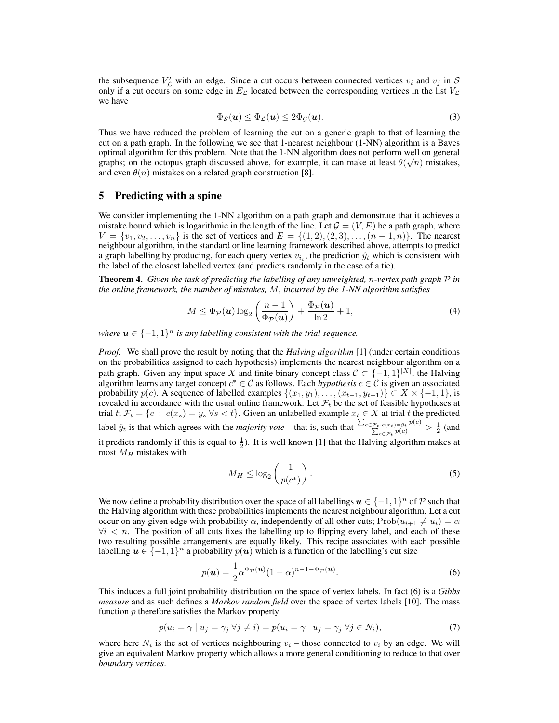the subsequence  $V'_\mathcal{L}$  with an edge. Since a cut occurs between connected vertices  $v_i$  and  $v_j$  in S only if a cut occurs on some edge in  $E_{\mathcal{L}}$  located between the corresponding vertices in the list  $V_{\mathcal{L}}$ we have

$$
\Phi_{\mathcal{S}}(\boldsymbol{u}) \leq \Phi_{\mathcal{L}}(\boldsymbol{u}) \leq 2\Phi_{\mathcal{G}}(\boldsymbol{u}).\tag{3}
$$

Thus we have reduced the problem of learning the cut on a generic graph to that of learning the cut on a path graph. In the following we see that 1-nearest neighbour (1-NN) algorithm is a Bayes optimal algorithm for this problem. Note that the 1-NN algorithm does not perform well on general graphs; on the octopus graph discussed above, for example, it can make at least  $\theta(\sqrt{n})$  mistakes, and even  $\theta(n)$  mistakes on a related graph construction [8].

## 5 Predicting with a spine

We consider implementing the 1-NN algorithm on a path graph and demonstrate that it achieves a mistake bound which is logarithmic in the length of the line. Let  $\mathcal{G} = (V, E)$  be a path graph, where  $V = \{v_1, v_2, \ldots, v_n\}$  is the set of vertices and  $E = \{(1, 2), (2, 3), \ldots, (n - 1, n)\}$ . The nearest neighbour algorithm, in the standard online learning framework described above, attempts to predict a graph labelling by producing, for each query vertex  $v_{i_t}$ , the prediction  $\hat{y}_t$  which is consistent with the label of the closest labelled vertex (and predicts randomly in the case of a tie).

Theorem 4. *Given the task of predicting the labelling of any unweighted,* n*-vertex path graph* P *in the online framework, the number of mistakes,* M*, incurred by the 1-NN algorithm satisfies*

$$
M \leq \Phi_{\mathcal{P}}(\boldsymbol{u}) \log_2\left(\frac{n-1}{\Phi_{\mathcal{P}}(\boldsymbol{u})}\right) + \frac{\Phi_{\mathcal{P}}(\boldsymbol{u})}{\ln 2} + 1, \tag{4}
$$

where  $u \in \{-1,1\}^n$  is any labelling consistent with the trial sequence.

*Proof.* We shall prove the result by noting that the *Halving algorithm* [1] (under certain conditions on the probabilities assigned to each hypothesis) implements the nearest neighbour algorithm on a path graph. Given any input space X and finite binary concept class  $C \subset \{-1,1\}^{|X|}$ , the Halving algorithm learns any target concept  $c^* \in \mathcal{C}$  as follows. Each *hypothesis*  $c \in \mathcal{C}$  is given an associated probability  $p(c)$ . A sequence of labelled examples  $\{(x_1, y_1), \ldots, (x_{t-1}, y_{t-1})\} \subset X \times \{-1, 1\}$ , is revealed in accordance with the usual online framework. Let  $\mathcal{F}_t$  be the set of feasible hypotheses at trial t;  $\mathcal{F}_t = \{c : c(x_s) = y_s \; \forall s < t\}$ . Given an unlabelled example  $x_t \in X$  at trial t the predicted label  $\hat{y}_t$  is that which agrees with the *majority vote* – that is, such that  $\frac{\sum_{c \in \mathcal{F}_t, c(x_t) = \hat{y}_t} p(c)}{\sum_{c} p(c)}$  $\frac{\sum_{c \in \mathcal{F}_t} p(c)}{\sum_{c \in \mathcal{F}_t} p(c)} > \frac{1}{2}$  (and it predicts randomly if this is equal to  $\frac{1}{2}$ . It is well known [1] that the Halving algorithm makes at most  $M_H$  mistakes with

$$
M_H \le \log_2\left(\frac{1}{p(c^*)}\right). \tag{5}
$$

We now define a probability distribution over the space of all labellings  $u \in \{-1,1\}^n$  of  $P$  such that the Halving algorithm with these probabilities implements the nearest neighbour algorithm. Let a cut occur on any given edge with probability  $\alpha$ , independently of all other cuts; Prob $(u_{i+1} \neq u_i) = \alpha$  $\forall i$  < n. The position of all cuts fixes the labelling up to flipping every label, and each of these two resulting possible arrangements are equally likely. This recipe associates with each possible labelling  $u \in \{-1,1\}^n$  a probability  $p(u)$  which is a function of the labelling's cut size

$$
p(\mathbf{u}) = \frac{1}{2} \alpha^{\Phi_{\mathcal{P}}(\mathbf{u})} (1 - \alpha)^{n-1 - \Phi_{\mathcal{P}}(\mathbf{u})}.
$$
 (6)

This induces a full joint probability distribution on the space of vertex labels. In fact (6) is a *Gibbs measure* and as such defines a *Markov random field* over the space of vertex labels [10]. The mass function  $p$  therefore satisfies the Markov property

$$
p(u_i = \gamma \mid u_j = \gamma_j \ \forall j \neq i) = p(u_i = \gamma \mid u_j = \gamma_j \ \forall j \in N_i), \tag{7}
$$

where here  $N_i$  is the set of vertices neighbouring  $v_i$  – those connected to  $v_i$  by an edge. We will give an equivalent Markov property which allows a more general conditioning to reduce to that over *boundary vertices*.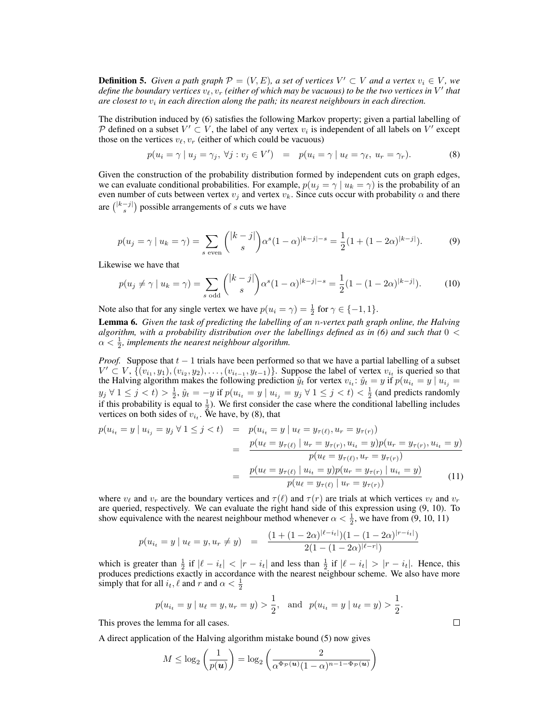**Definition 5.** Given a path graph  $\mathcal{P} = (V, E)$ , a set of vertices  $V' \subset V$  and a vertex  $v_i \in V$ , we define the boundary vertices  $v_\ell, v_r$  (either of which may be vacuous) to be the two vertices in  $V'$  that are closest to  $v_i$  in each direction along the path; its nearest neighbours in each direction.

The distribution induced by (6) satisfies the following Markov property; given a partial labelling of P defined on a subset  $V' \subset V$ , the label of any vertex  $v_i$  is independent of all labels on  $V'$  except those on the vertices  $v_{\ell}, v_r$  (either of which could be vacuous)

$$
p(u_i = \gamma \mid u_j = \gamma_j, \ \forall j : v_j \in V') \quad = \quad p(u_i = \gamma \mid u_\ell = \gamma_\ell, \ u_r = \gamma_r). \tag{8}
$$

Given the construction of the probability distribution formed by independent cuts on graph edges, we can evaluate conditional probabilities. For example,  $p(u_i = \gamma | u_k = \gamma)$  is the probability of an even number of cuts between vertex  $v_j$  and vertex  $v_k$ . Since cuts occur with probability  $\alpha$  and there are  $\binom{|k-j|}{s}$  possible arrangements of s cuts we have

$$
p(u_j = \gamma \mid u_k = \gamma) = \sum_{s \text{ even}} \binom{|k-j|}{s} \alpha^s (1-\alpha)^{|k-j|-s} = \frac{1}{2} (1 + (1-2\alpha)^{|k-j|}).\tag{9}
$$

Likewise we have that

$$
p(u_j \neq \gamma \mid u_k = \gamma) = \sum_{s \text{ odd}} { |k - j| \choose s} \alpha^s (1 - \alpha)^{|k - j| - s} = \frac{1}{2} (1 - (1 - 2\alpha)^{|k - j|}). \tag{10}
$$

Note also that for any single vertex we have  $p(u_i = \gamma) = \frac{1}{2}$  for  $\gamma \in \{-1, 1\}$ .

Lemma 6. *Given the task of predicting the labelling of an* n*-vertex path graph online, the Halving algorithm, with a probability distribution over the labellings defined as in (6) and such that*  $0 <$  $\alpha < \frac{1}{2}$ , implements the nearest neighbour algorithm.

*Proof.* Suppose that  $t - 1$  trials have been performed so that we have a partial labelling of a subset  $V' \subset V$ ,  $\{ (v_{i_1}, y_1), (v_{i_2}, y_2), \ldots, (v_{i_{t-1}}, y_{t-1}) \}$ . Suppose the label of vertex  $v_{i_t}$  is queried so that the Halving algorithm makes the following prediction  $\hat{y}_t$  for vertex  $v_{i_t}$ :  $\hat{y}_t = y$  if  $p(u_{i_t} = y | u_{i_j} =$  $y_j \forall 1 \leq j < t$ )  $> \frac{1}{2}$ ,  $\hat{y}_t = -y$  if  $p(u_{i_t} = y \mid u_{i_j} = y_j \forall 1 \leq j < t) < \frac{1}{2}$  (and predicts randomly if this probability is equal to  $\frac{1}{2}$ ). We first consider the case where the conditional labelling includes vertices on both sides of  $v_{i_t}$ . We have, by (8), that

$$
p(u_{i_t} = y \mid u_{i_j} = y_j \forall 1 \le j < t) = p(u_{i_t} = y \mid u_\ell = y_{\tau(\ell)}, u_r = y_{\tau(r)})
$$
\n
$$
= \frac{p(u_\ell = y_{\tau(\ell)} \mid u_r = y_{\tau(r)}, u_{i_t} = y)p(u_r = y_{\tau(r)}, u_{i_t} = y)}{p(u_\ell = y_{\tau(\ell)}, u_r = y_{\tau(r)})}
$$
\n
$$
= \frac{p(u_\ell = y_{\tau(\ell)} \mid u_{i_t} = y)p(u_r = y_{\tau(r)} \mid u_{i_t} = y)}{p(u_\ell = y_{\tau(\ell)} \mid u_r = y_{\tau(r)})}
$$
\n(11)

where  $v_\ell$  and  $v_r$  are the boundary vertices and  $\tau(\ell)$  and  $\tau(r)$  are trials at which vertices  $v_\ell$  and  $v_r$ are queried, respectively. We can evaluate the right hand side of this expression using (9, 10). To show equivalence with the nearest neighbour method whenever  $\alpha < \frac{1}{2}$ , we have from (9, 10, 11)

$$
p(u_{i_t} = y \mid u_\ell = y, u_r \neq y) = \frac{(1 + (1 - 2\alpha)^{|\ell - i_t|})(1 - (1 - 2\alpha)^{|\tau - i_t|})}{2(1 - (1 - 2\alpha)^{|\ell - r|})}
$$

which is greater than  $\frac{1}{2}$  if  $|\ell - i_t| < |r - i_t|$  and less than  $\frac{1}{2}$  if  $|\ell - i_t| > |r - i_t|$ . Hence, this produces predictions exactly in accordance with the nearest neighbour scheme. We also have more simply that for all  $i_t$ ,  $\ell$  and  $r$  and  $\alpha < \frac{1}{2}$ 

$$
p(u_{i_t} = y | u_\ell = y, u_r = y) > \frac{1}{2}
$$
, and  $p(u_{i_t} = y | u_\ell = y) > \frac{1}{2}$ .

This proves the lemma for all cases.

A direct application of the Halving algorithm mistake bound (5) now gives

$$
M \leq \log_2\left(\frac{1}{p(u)}\right) = \log_2\left(\frac{2}{\alpha^{\Phi_{\mathcal{P}}(u)}(1-\alpha)^{n-1-\Phi_{\mathcal{P}}(u)}}\right)
$$

 $\Box$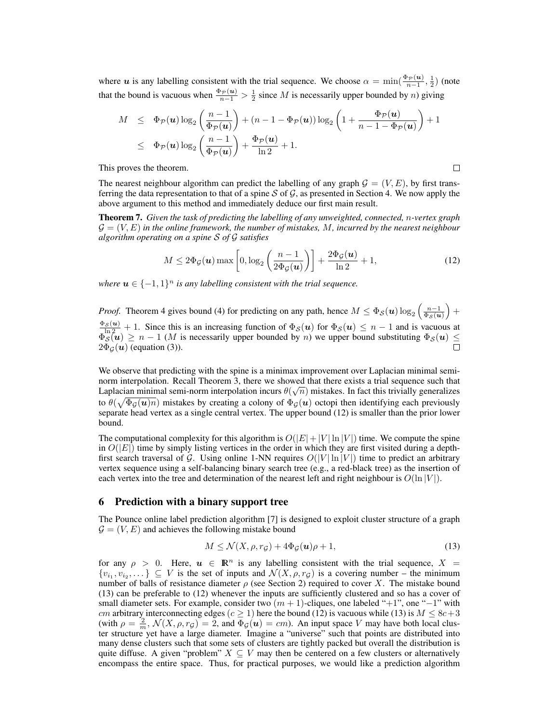where u is any labelling consistent with the trial sequence. We choose  $\alpha = \min(\frac{\Phi_{\mathcal{P}}(u)}{n-1}, \frac{1}{2})$  (note that the bound is vacuous when  $\frac{\Phi_P(u)}{n-1} > \frac{1}{2}$  since M is necessarily upper bounded by n) giving

$$
M \leq \Phi_{\mathcal{P}}(\mathbf{u}) \log_2\left(\frac{n-1}{\Phi_{\mathcal{P}}(\mathbf{u})}\right) + (n-1 - \Phi_{\mathcal{P}}(\mathbf{u})) \log_2\left(1 + \frac{\Phi_{\mathcal{P}}(\mathbf{u})}{n-1 - \Phi_{\mathcal{P}}(\mathbf{u})}\right) + 1
$$
  

$$
\leq \Phi_{\mathcal{P}}(\mathbf{u}) \log_2\left(\frac{n-1}{\Phi_{\mathcal{P}}(\mathbf{u})}\right) + \frac{\Phi_{\mathcal{P}}(\mathbf{u})}{\ln 2} + 1.
$$

This proves the theorem.

The nearest neighbour algorithm can predict the labelling of any graph  $\mathcal{G} = (V, E)$ , by first transferring the data representation to that of a spine  $S$  of  $G$ , as presented in Section 4. We now apply the above argument to this method and immediately deduce our first main result.

Theorem 7. *Given the task of predicting the labelling of any unweighted, connected,* n*-vertex graph* G = (V, E) *in the online framework, the number of mistakes,* M*, incurred by the nearest neighbour algorithm operating on a spine* S *of* G *satisfies*

$$
M \le 2\Phi_{\mathcal{G}}(\boldsymbol{u}) \max\left[0, \log_2\left(\frac{n-1}{2\Phi_{\mathcal{G}}(\boldsymbol{u})}\right)\right] + \frac{2\Phi_{\mathcal{G}}(\boldsymbol{u})}{\ln 2} + 1, \tag{12}
$$

 $\Box$ 

where  $u \in \{-1,1\}^n$  is any labelling consistent with the trial sequence.

*Proof.* Theorem 4 gives bound (4) for predicting on any path, hence  $M \leq \Phi_{\mathcal{S}}(\mathbf{u}) \log_2\left(\frac{n-1}{\Phi_{\mathcal{S}}(\mathbf{u})}\right)$  +  $\frac{\Phi_{\mathcal{S}}(u)}{\ln 2} + 1$ . Since this is an increasing function of  $\Phi_{\mathcal{S}}(u)$  for  $\Phi_{\mathcal{S}}(u) \leq n - 1$  and is vacuous at  $\Phi_S(u) \ge n - 1$  (*M* is necessarily upper bounded by *n*) we upper bound substituting  $\Phi_S(u) \le$  $2\Phi_G(\boldsymbol{u})$  (equation (3)).

We observe that predicting with the spine is a minimax improvement over Laplacian minimal seminorm interpolation. Recall Theorem 3, there we showed that there exists a trial sequence such that Laplacian minimal semi-norm interpolation incurs  $\theta(\sqrt{n})$  mistakes. In fact this trivially generalizes to  $\theta(\sqrt{\Phi_{\mathcal{G}}(u)n})$  mistakes by creating a colony of  $\Phi_{\mathcal{G}}(u)$  octopi then identifying each previously separate head vertex as a single central vertex. The upper bound (12) is smaller than the prior lower bound.

The computational complexity for this algorithm is  $O(|E|+|V| \ln |V|)$  time. We compute the spine in  $O(|E|)$  time by simply listing vertices in the order in which they are first visited during a depthfirst search traversal of G. Using online 1-NN requires  $O(|V| \ln |V|)$  time to predict an arbitrary vertex sequence using a self-balancing binary search tree (e.g., a red-black tree) as the insertion of each vertex into the tree and determination of the nearest left and right neighbour is  $O(\ln |V|)$ .

## 6 Prediction with a binary support tree

The Pounce online label prediction algorithm [7] is designed to exploit cluster structure of a graph  $\mathcal{G} = (V, E)$  and achieves the following mistake bound

$$
M \le \mathcal{N}(X,\rho,r_{\mathcal{G}}) + 4\Phi_{\mathcal{G}}(\boldsymbol{u})\rho + 1,\tag{13}
$$

for any  $\rho > 0$ . Here,  $u \in \mathbb{R}^n$  is any labelling consistent with the trial sequence,  $X =$  $\{v_{i_1}, v_{i_2}, \dots\} \subseteq V$  is the set of inputs and  $\mathcal{N}(X, \rho, r_{\mathcal{G}})$  is a covering number – the minimum number of balls of resistance diameter  $\rho$  (see Section 2) required to cover X. The mistake bound (13) can be preferable to (12) whenever the inputs are sufficiently clustered and so has a cover of small diameter sets. For example, consider two  $(m + 1)$ -cliques, one labeled "+1", one "−1" with cm arbitrary interconnecting edges (c  $\geq$  1) here the bound (12) is vacuous while (13) is  $M \leq 8c+3$ (with  $\rho = \frac{2}{m}$ ,  $\mathcal{N}(X, \rho, r_g) = 2$ , and  $\Phi_g(u) = cm$ ). An input space V may have both local cluster structure yet have a large diameter. Imagine a "universe" such that points are distributed into many dense clusters such that some sets of clusters are tightly packed but overall the distribution is quite diffuse. A given "problem"  $X \subseteq V$  may then be centered on a few clusters or alternatively encompass the entire space. Thus, for practical purposes, we would like a prediction algorithm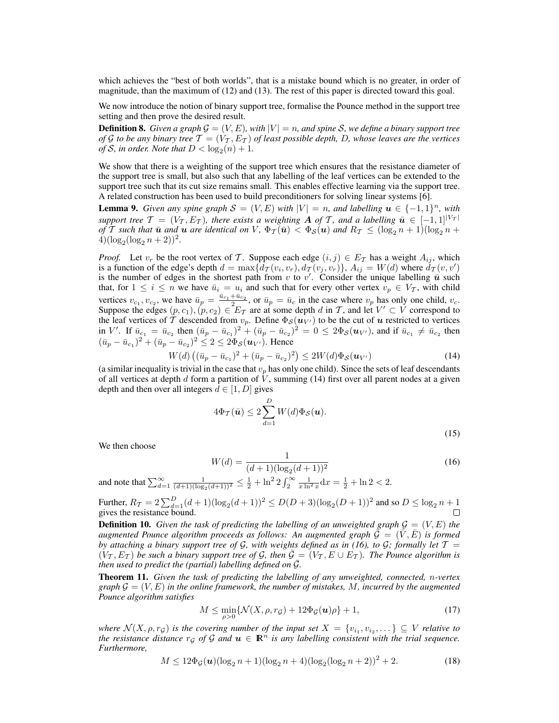which achieves the "best of both worlds", that is a mistake bound which is no greater, in order of magnitude, than the maximum of (12) and (13). The rest of this paper is directed toward this goal.

We now introduce the notion of binary support tree, formalise the Pounce method in the support tree setting and then prove the desired result.

**Definition 8.** *Given a graph*  $\mathcal{G} = (V, E)$ *, with*  $|V| = n$ *, and spine S, we define a binary support tree of* G *to be any binary tree*  $\mathcal{T} = (V_\mathcal{T}, E_\mathcal{T})$  *of least possible depth, D, whose leaves are the vertices of*  $S$ *, in order. Note that*  $D < log_2(n) + 1$ *.* 

We show that there is a weighting of the support tree which ensures that the resistance diameter of the support tree is small, but also such that any labelling of the leaf vertices can be extended to the support tree such that its cut size remains small. This enables effective learning via the support tree. A related construction has been used to build preconditioners for solving linear systems [6].

**Lemma 9.** *Given any spine graph*  $S = (V, E)$  *with*  $|V| = n$ *, and labelling*  $u \in \{-1, 1\}^n$ *, with support tree*  $\mathcal{T} = (V_\mathcal{T}, E_\mathcal{T})$ *, there exists a weighting*  $\mathbf{A}$  *of*  $\mathcal{T}$ *, and a labelling*  $\bar{\mathbf{u}} \in [-1, 1]^{|\mathcal{V}_\mathcal{T}|}$ *of*  $\overline{T}$  *such that*  $\overline{u}$  *and*  $u$  *are identical on*  $V$ ,  $\Phi_{\mathcal{I}}(\overline{u}) < \Phi_{\mathcal{S}}(u)$  *and*  $R_{\mathcal{I}} \leq (\log_2 n + 1)(\log_2 n +$  $4)(\log_2(\log_2 n + 2))^2$ .

*Proof.* Let  $v_r$  be the root vertex of T. Suppose each edge  $(i, j) \in E_T$  has a weight  $A_{ij}$ , which is a function of the edge's depth  $d = \max\{d_{\mathcal{T}}(v_i, v_r), d_{\mathcal{T}}(v_j, v_r)\}, A_{ij} = W(d)$  where  $d_{\mathcal{T}}(v, v')$ is the number of edges in the shortest path from v to v'. Consider the unique labelling  $\bar{u}$  such that, for  $1 \leq i \leq n$  we have  $\bar{u}_i = u_i$  and such that for every other vertex  $v_p \in V_{\mathcal{T}}$ , with child vertices  $v_{c_1}, v_{c_2}$ , we have  $\bar{u}_p = \frac{\bar{u}_{c_1} + \bar{u}_{c_2}}{2}$ , or  $\bar{u}_p = \bar{u}_c$  in the case where  $v_p$  has only one child,  $v_c$ . Suppose the edges  $(p, c_1), (p, c_2) \in E_T$  are at some depth d in T, and let  $V' \subset V$  correspond to the leaf vertices of T descended from  $v_p$ . Define  $\Phi_{\mathcal{S}}(\boldsymbol{u}_{V'})$  to be the cut of  $\boldsymbol{u}$  restricted to vertices in V'. If  $\bar{u}_{c_1} = \bar{u}_{c_2}$  then  $(\bar{u}_p - \bar{u}_{c_1})^2 + (\bar{u}_p - \bar{u}_{c_2})^2 = 0 \le 2\Phi_{\mathcal{S}}(u_{V'}),$  and if  $\bar{u}_{c_1} \ne \bar{u}_{c_2}$  then  $(\bar{u}_p - \bar{u}_{c_1})^2 + (\bar{u}_p - \bar{u}_{c_2})^2 \leq 2 \leq 2\Phi_{\mathcal{S}}(\boldsymbol{u}_{V'})$ . Hence

$$
W(d) ((\bar{u}_p - \bar{u}_{c_1})^2 + (\bar{u}_p - \bar{u}_{c_2})^2) \le 2W(d)\Phi_{\mathcal{S}}(\boldsymbol{u}_{V'})
$$
\n(14)

(a similar inequality is trivial in the case that  $v_p$  has only one child). Since the sets of leaf descendants of all vertices at depth d form a partition of  $\dot{V}$ , summing (14) first over all parent nodes at a given depth and then over all integers  $d \in [1, D]$  gives

$$
4\Phi_{\mathcal{T}}(\bar{\mathbf{u}}) \le 2\sum_{d=1}^{D} W(d)\Phi_{\mathcal{S}}(\mathbf{u}).
$$
\n(15)

We then choose

$$
W(d) = \frac{1}{(d+1)(\log_2(d+1))^2}
$$
\n(16)

and note that  $\sum_{d=1}^{\infty} \frac{1}{(d+1)(\log_2(d+1))^2} \le \frac{1}{2} + \ln^2 2 \int_2^{\infty} \frac{1}{x \ln^2 x} dx = \frac{1}{2} + \ln 2 < 2$ .

Further, 
$$
R_T = 2 \sum_{d=1}^{D} (d+1) (\log_2 (d+1))^2 \le D(D+3) (\log_2 (D+1))^2
$$
 and so  $D \le \log_2 n + 1$  gives the resistance bound.

**Definition 10.** Given the task of predicting the labelling of an unweighted graph  $\mathcal{G} = (V, E)$  the *augmented Pounce algorithm proceeds as follows: An augmented graph*  $\vec{G} = (\bar{V}, \bar{E})$  *is formed by attaching a binary support tree of*  $\mathcal{G}$ *, with weights defined as in (16), to*  $\mathcal{G}$ *; formally let*  $\mathcal{T} =$  $(V_T, E_T)$  be such a binary support tree of G, then  $\overline{G} = (V_T, E \cup E_T)$ . The Pounce algorithm is *then used to predict the (partial) labelling defined on*  $\overline{G}$ *.* 

Theorem 11. *Given the task of predicting the labelling of any unweighted, connected,* n*-vertex graph*  $\mathcal{G} = (V, E)$  *in the online framework, the number of mistakes, M, incurred by the augmented Pounce algorithm satisfies*

$$
M \le \min_{\rho > 0} \{ \mathcal{N}(X, \rho, r_{\mathcal{G}}) + 12\Phi_{\mathcal{G}}(\boldsymbol{u})\rho \} + 1,\tag{17}
$$

where  $\mathcal{N}(X, \rho, r_{\mathcal{G}})$  is the covering number of the input set  $X = \{v_{i_1}, v_{i_2}, \dots\} \subseteq V$  relative to *the resistance distance*  $r_G$  *of* G *and*  $u \in \mathbb{R}^n$  *is any labelling consistent with the trial sequence. Furthermore,*

$$
M \le 12\Phi_{\mathcal{G}}(\boldsymbol{u})(\log_2 n + 1)(\log_2 n + 4)(\log_2(\log_2 n + 2))^2 + 2.
$$
 (18)